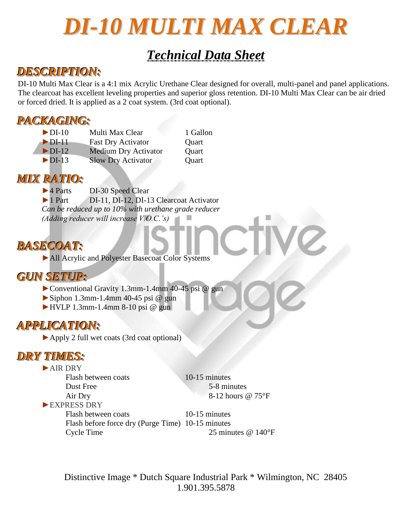# *DI-10 MULTI MAX CLEAR*

## *Technical Data Sheet*

### *DESCRIPTION:*

DI-10 Multi Max Clear is a 4:1 mix Acrylic Urethane Clear designed for overall, multi-panel and panel applications. The clearcoat has excellent leveling properties and superior gloss retention. DI-10 Multi Max Clear can be air dried or forced dried. It is applied as a 2 coat system. (3rd coat optional).

### *PACKAGING:*

► DI-10 Multi Max Clear 1 Gallon ►DI-11 Fast Dry Activator Quart ►DI-12 Medium Dry Activator Quart ►DI-13 Slow Dry Activator Quart

#### *MIX RATIO:*

►4 Parts DI-30 Speed Clear ►1 Part DI-11, DI-12, DI-13 Clearcoat Activator *Can be reduced up to 10% with urethane grade reducer (Adding reducer will increase V.O.C.'s)*

### *BASECOAT:*

►All Acrylic and Polyester Basecoat Color Systems

### *GUN SETUP:*

►Conventional Gravity 1.3mm-1.4mm 40-45 psi @ gun

- $\blacktriangleright$  Siphon 1.3mm-1.4mm 40-45 psi @ gun
- $\blacktriangleright$  HVLP 1.3mm-1.4mm 8-10 psi @ gun

### *APPLICATION:*

►Apply 2 full wet coats (3rd coat optional)

### *DRY TIMES:*

►AIR DRY Flash between coats 10-15 minutes Dust Free 5-8 minutes Air Dry 8-12 hours  $@ 75^{\circ}F$ ►EXPRESS DRY Flash between coats 10-15 minutes Flash before force dry (Purge Time) 10-15 minutes Cycle Time 25 minutes @ 140°F

> Distinctive Image \* Dutch Square Industrial Park \* Wilmington, NC 28405 1.901.395.5878